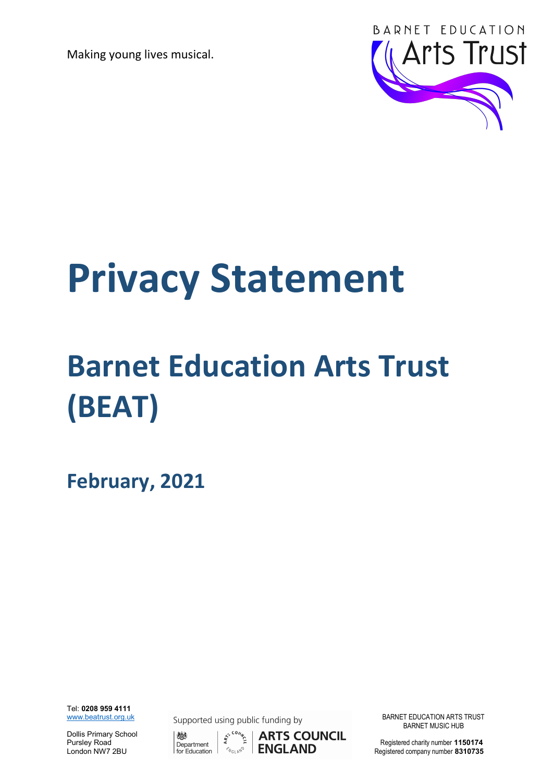

# Privacy Statement

# Barnet Education Arts Trust (BEAT)

February, 2021

Tel: 0208 959 4111<br>www.beatrust.org.uk

Dollis Primary School



 $\epsilon^{s^{c\, \text{Cov}}t}$  **ARTS COUNCIL** BARNET MUSIC HUB



Supported using public funding by **EXAMPLE BARNET EDUCATION ARTS TRUST** 

Dollis Primary School (150174)<br>Pursley Road Department  $\begin{matrix} \frac{1}{2} & \frac{1}{2} & \frac{1}{2} \\ \frac{1}{2} & \frac{1}{2} & \frac{1}{2} \\ \frac{1}{2} & \frac{1}{2} & \frac{1}{2} \end{matrix}$  **ARTS COUNCIL**<br>Registered charity number 1150174<br>London NW7 2BU **ENGLAND** Registere Registered company number 8310735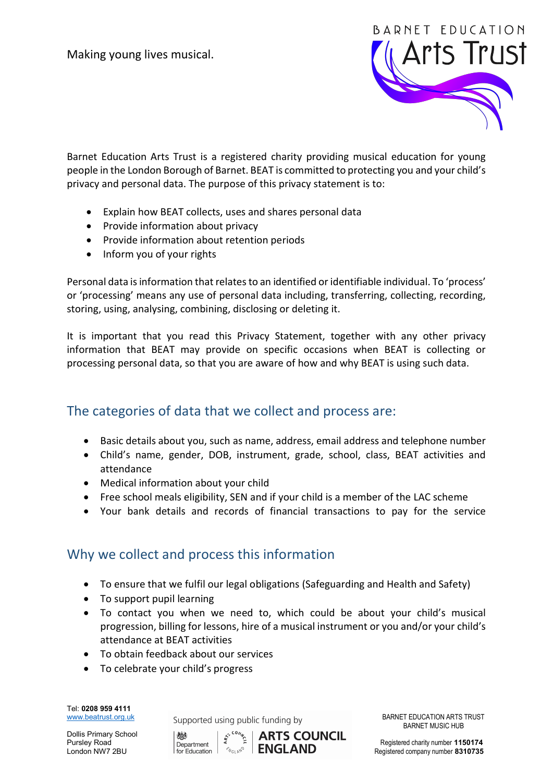

Barnet Education Arts Trust is a registered charity providing musical education for young people in the London Borough of Barnet. BEAT is committed to protecting you and your child's privacy and personal data. The purpose of this privacy statement is to:

- Explain how BEAT collects, uses and shares personal data
- Provide information about privacy
- Provide information about retention periods
- Inform you of your rights

Personal data is information that relates to an identified or identifiable individual. To 'process' or 'processing' means any use of personal data including, transferring, collecting, recording, storing, using, analysing, combining, disclosing or deleting it.

It is important that you read this Privacy Statement, together with any other privacy information that BEAT may provide on specific occasions when BEAT is collecting or processing personal data, so that you are aware of how and why BEAT is using such data.

#### The categories of data that we collect and process are:

- Basic details about you, such as name, address, email address and telephone number
- Child's name, gender, DOB, instrument, grade, school, class, BEAT activities and attendance
- Medical information about your child
- Free school meals eligibility, SEN and if your child is a member of the LAC scheme
- Your bank details and records of financial transactions to pay for the service

#### Why we collect and process this information

- To ensure that we fulfil our legal obligations (Safeguarding and Health and Safety)
- To support pupil learning
- To contact you when we need to, which could be about your child's musical progression, billing for lessons, hire of a musical instrument or you and/or your child's attendance at BEAT activities
- To obtain feedback about our services
- To celebrate your child's progress

Tel: 0208 959 4111

Dollis Primary School

www.beatrust.org.uk Supported using public funding by BARNET EDUCATION ARTS TRUST



Registered company number 8310735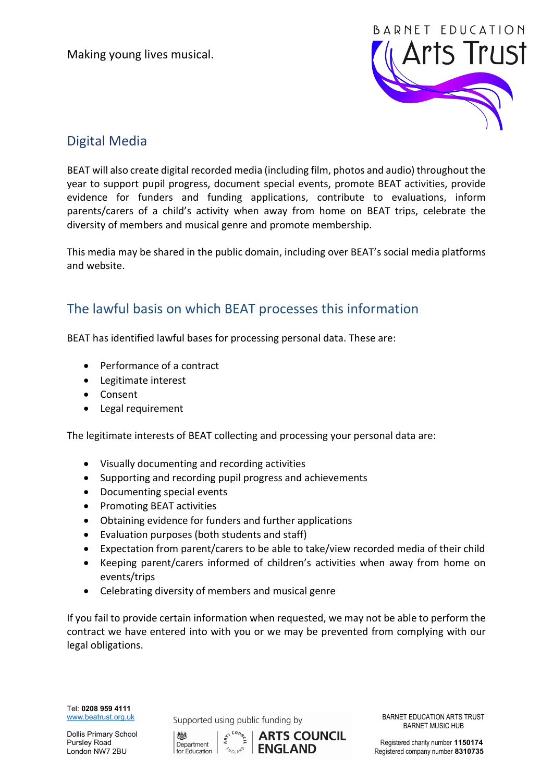

# Digital Media

BEAT will also create digital recorded media (including film, photos and audio) throughout the year to support pupil progress, document special events, promote BEAT activities, provide evidence for funders and funding applications, contribute to evaluations, inform parents/carers of a child's activity when away from home on BEAT trips, celebrate the diversity of members and musical genre and promote membership.

This media may be shared in the public domain, including over BEAT's social media platforms and website.

## The lawful basis on which BEAT processes this information

BEAT has identified lawful bases for processing personal data. These are:

- Performance of a contract
- Legitimate interest
- Consent
- Legal requirement

The legitimate interests of BEAT collecting and processing your personal data are:

- Visually documenting and recording activities
- Supporting and recording pupil progress and achievements
- Documenting special events
- Promoting BEAT activities
- Obtaining evidence for funders and further applications
- Evaluation purposes (both students and staff)
- Expectation from parent/carers to be able to take/view recorded media of their child
- Keeping parent/carers informed of children's activities when away from home on events/trips
- Celebrating diversity of members and musical genre

If you fail to provide certain information when requested, we may not be able to perform the contract we have entered into with you or we may be prevented from complying with our legal obligations.

Tel: 0208 959 4111

Dollis Primary School

www.beatrust.org.uk Supported using public funding by BARNET EDUCATION ARTS TRUST



BARNET MUSIC HUB

Dollis Primary School **Alternation Article School** (  $\frac{1}{25}$  c<sup>5</sup> c<sup>ov</sup><sub>2</sub> **ARTS COUNCIL**<br>Pursley Road Department Registered charity number 1150174<br>London NW7 2BU **Registered Company number 8310735**  $\text{L}_\text{for}$  Education  $\text{C}_{\text{for}}$   $\text{C}_{\text{for}}$   $\text{C}_{\text{for}}$  **NWT Registered company number 8310735**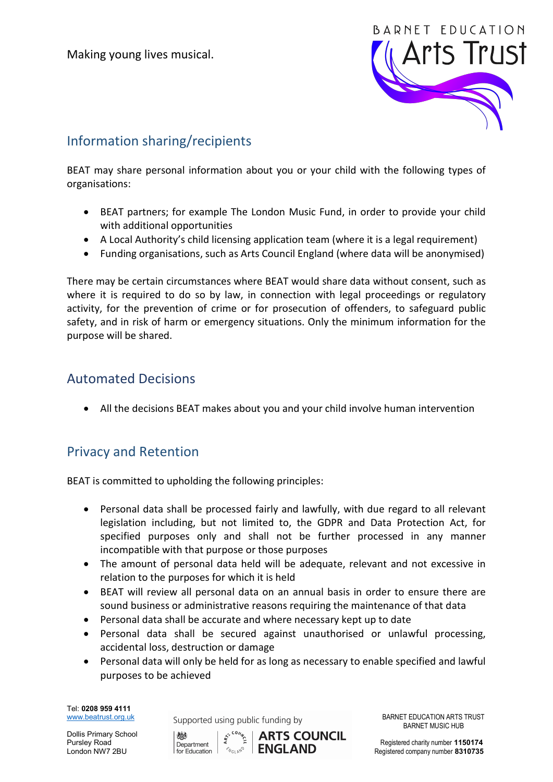

# Information sharing/recipients

BEAT may share personal information about you or your child with the following types of organisations:

- BEAT partners; for example The London Music Fund, in order to provide your child with additional opportunities
- A Local Authority's child licensing application team (where it is a legal requirement)
- Funding organisations, such as Arts Council England (where data will be anonymised)

There may be certain circumstances where BEAT would share data without consent, such as where it is required to do so by law, in connection with legal proceedings or regulatory activity, for the prevention of crime or for prosecution of offenders, to safeguard public safety, and in risk of harm or emergency situations. Only the minimum information for the purpose will be shared.

#### Automated Decisions

All the decisions BEAT makes about you and your child involve human intervention

#### Privacy and Retention

BEAT is committed to upholding the following principles:

- Personal data shall be processed fairly and lawfully, with due regard to all relevant legislation including, but not limited to, the GDPR and Data Protection Act, for specified purposes only and shall not be further processed in any manner incompatible with that purpose or those purposes
- The amount of personal data held will be adequate, relevant and not excessive in relation to the purposes for which it is held
- BEAT will review all personal data on an annual basis in order to ensure there are sound business or administrative reasons requiring the maintenance of that data
- Personal data shall be accurate and where necessary kept up to date
- Personal data shall be secured against unauthorised or unlawful processing, accidental loss, destruction or damage
- Personal data will only be held for as long as necessary to enable specified and lawful purposes to be achieved

Tel: 0208 959 4111<br>www.beatrust.org.uk

Dollis Primary School

Supported using public funding by **EXALL BARNET EDUCATION ARTS TRUST** 



BARNET MUSIC HUB

 $\text{L}_\text{for}$  Education  $\text{C}_{\text{for}}$ <sub>2</sub>  $\text{C}_{\text{for}}$  **ENGLAND** Registered company number 8310735